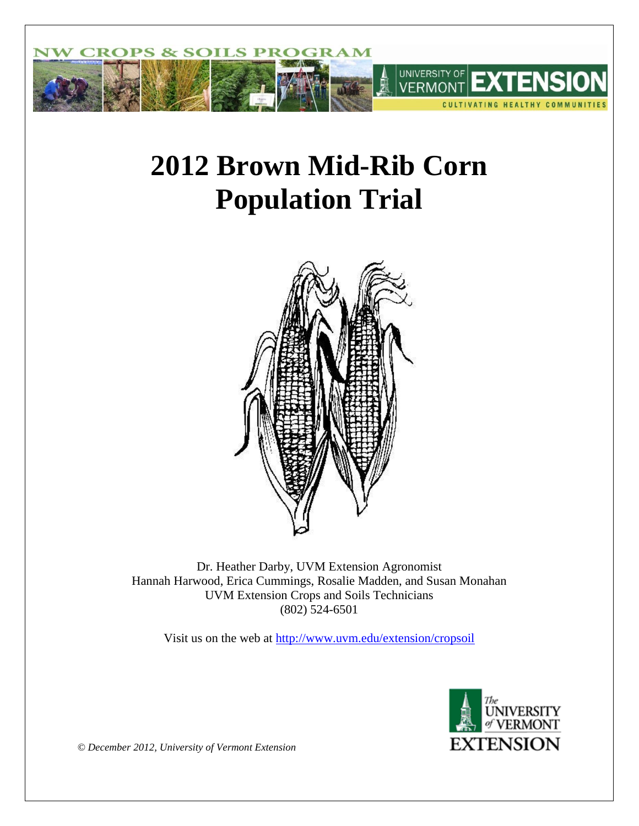

# **2012 Brown Mid-Rib Corn Population Trial**



Dr. Heather Darby, UVM Extension Agronomist Hannah Harwood, Erica Cummings, Rosalie Madden, and Susan Monahan UVM Extension Crops and Soils Technicians (802) 524-6501

Visit us on the web at<http://www.uvm.edu/extension/cropsoil>



*© December 2012, University of Vermont Extension*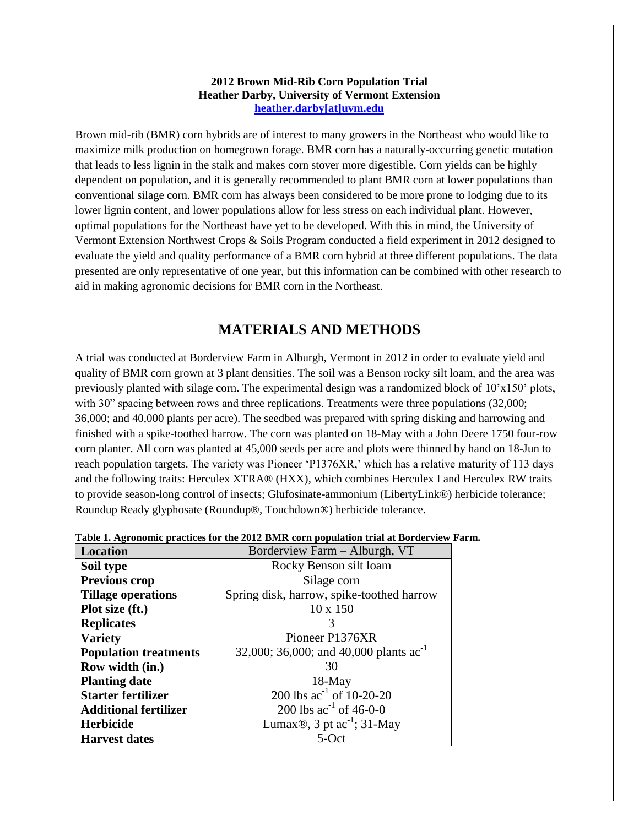#### **2012 Brown Mid-Rib Corn Population Trial Heather Darby, University of Vermont Extension [heather.darby\[at\]uvm.edu](mailto:Heather.Darby@uvm.edu?subject=2012%20BMR%20Seeding%20Rate%20Trial)**

Brown mid-rib (BMR) corn hybrids are of interest to many growers in the Northeast who would like to maximize milk production on homegrown forage. BMR corn has a naturally-occurring genetic mutation that leads to less lignin in the stalk and makes corn stover more digestible. Corn yields can be highly dependent on population, and it is generally recommended to plant BMR corn at lower populations than conventional silage corn. BMR corn has always been considered to be more prone to lodging due to its lower lignin content, and lower populations allow for less stress on each individual plant. However, optimal populations for the Northeast have yet to be developed. With this in mind, the University of Vermont Extension Northwest Crops & Soils Program conducted a field experiment in 2012 designed to evaluate the yield and quality performance of a BMR corn hybrid at three different populations. The data presented are only representative of one year, but this information can be combined with other research to aid in making agronomic decisions for BMR corn in the Northeast.

## **MATERIALS AND METHODS**

A trial was conducted at Borderview Farm in Alburgh, Vermont in 2012 in order to evaluate yield and quality of BMR corn grown at 3 plant densities. The soil was a Benson rocky silt loam, and the area was previously planted with silage corn. The experimental design was a randomized block of 10'x150' plots, with 30" spacing between rows and three replications. Treatments were three populations (32,000; 36,000; and 40,000 plants per acre). The seedbed was prepared with spring disking and harrowing and finished with a spike-toothed harrow. The corn was planted on 18-May with a John Deere 1750 four-row corn planter. All corn was planted at 45,000 seeds per acre and plots were thinned by hand on 18-Jun to reach population targets. The variety was Pioneer 'P1376XR,' which has a relative maturity of 113 days and the following traits: Herculex XTRA® (HXX), which combines Herculex I and Herculex RW traits to provide season-long control of insects; Glufosinate-ammonium (LibertyLink®) herbicide tolerance; Roundup Ready glyphosate (Roundup®, Touchdown®) herbicide tolerance.

| Location                     | Borderview Farm - Alburgh, VT                |  |  |  |  |  |  |
|------------------------------|----------------------------------------------|--|--|--|--|--|--|
| Soil type                    | Rocky Benson silt loam                       |  |  |  |  |  |  |
| Previous crop                | Silage corn                                  |  |  |  |  |  |  |
| <b>Tillage operations</b>    | Spring disk, harrow, spike-toothed harrow    |  |  |  |  |  |  |
| Plot size (ft.)              | $10 \times 150$                              |  |  |  |  |  |  |
| <b>Replicates</b>            | ≺                                            |  |  |  |  |  |  |
| <b>Variety</b>               | Pioneer P1376XR                              |  |  |  |  |  |  |
| <b>Population treatments</b> | 32,000; 36,000; and 40,000 plants $ac^{-1}$  |  |  |  |  |  |  |
| Row width (in.)              | 30                                           |  |  |  |  |  |  |
| <b>Planting date</b>         | $18$ -May                                    |  |  |  |  |  |  |
| <b>Starter fertilizer</b>    | 200 lbs $ac^{-1}$ of 10-20-20                |  |  |  |  |  |  |
| <b>Additional fertilizer</b> | 200 lbs $ac^{-1}$ of 46-0-0                  |  |  |  |  |  |  |
| <b>Herbicide</b>             | Lumax <sup>®</sup> , 3 pt $ac^{-1}$ ; 31-May |  |  |  |  |  |  |
| <b>Harvest dates</b>         | 5- $Oct$                                     |  |  |  |  |  |  |

|  |  | Table 1. Agronomic practices for the 2012 BMR corn population trial at Borderview Farm. |  |
|--|--|-----------------------------------------------------------------------------------------|--|
|  |  |                                                                                         |  |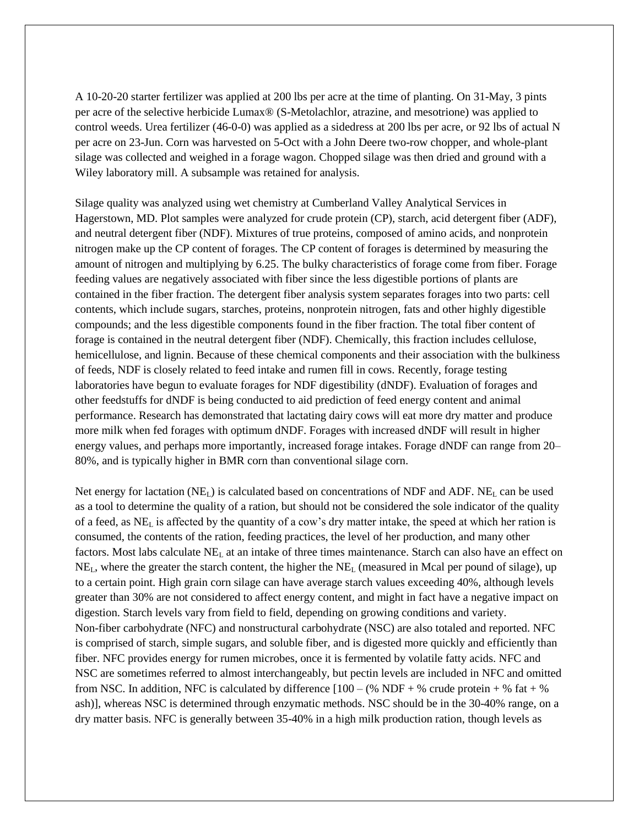A 10-20-20 starter fertilizer was applied at 200 lbs per acre at the time of planting. On 31-May, 3 pints per acre of the selective herbicide Lumax® (S-Metolachlor, atrazine, and mesotrione) was applied to control weeds. Urea fertilizer (46-0-0) was applied as a sidedress at 200 lbs per acre, or 92 lbs of actual N per acre on 23-Jun. Corn was harvested on 5-Oct with a John Deere two-row chopper, and whole-plant silage was collected and weighed in a forage wagon. Chopped silage was then dried and ground with a Wiley laboratory mill. A subsample was retained for analysis.

Silage quality was analyzed using wet chemistry at Cumberland Valley Analytical Services in Hagerstown, MD. Plot samples were analyzed for crude protein (CP), starch, acid detergent fiber (ADF), and neutral detergent fiber (NDF). Mixtures of true proteins, composed of amino acids, and nonprotein nitrogen make up the CP content of forages. The CP content of forages is determined by measuring the amount of nitrogen and multiplying by 6.25. The bulky characteristics of forage come from fiber. Forage feeding values are negatively associated with fiber since the less digestible portions of plants are contained in the fiber fraction. The detergent fiber analysis system separates forages into two parts: cell contents, which include sugars, starches, proteins, nonprotein nitrogen, fats and other highly digestible compounds; and the less digestible components found in the fiber fraction. The total fiber content of forage is contained in the neutral detergent fiber (NDF). Chemically, this fraction includes cellulose, hemicellulose, and lignin. Because of these chemical components and their association with the bulkiness of feeds, NDF is closely related to feed intake and rumen fill in cows. Recently, forage testing laboratories have begun to evaluate forages for NDF digestibility (dNDF). Evaluation of forages and other feedstuffs for dNDF is being conducted to aid prediction of feed energy content and animal performance. Research has demonstrated that lactating dairy cows will eat more dry matter and produce more milk when fed forages with optimum dNDF. Forages with increased dNDF will result in higher energy values, and perhaps more importantly, increased forage intakes. Forage dNDF can range from 20– 80%, and is typically higher in BMR corn than conventional silage corn.

Net energy for lactation  $(NE_L)$  is calculated based on concentrations of NDF and ADF.  $NE_L$  can be used as a tool to determine the quality of a ration, but should not be considered the sole indicator of the quality of a feed, as NE<sup>L</sup> is affected by the quantity of a cow's dry matter intake, the speed at which her ration is consumed, the contents of the ration, feeding practices, the level of her production, and many other factors. Most labs calculate  $NE<sub>L</sub>$  at an intake of three times maintenance. Starch can also have an effect on NEL, where the greater the starch content, the higher the NE<sup>L</sup> (measured in Mcal per pound of silage), up to a certain point. High grain corn silage can have average starch values exceeding 40%, although levels greater than 30% are not considered to affect energy content, and might in fact have a negative impact on digestion. Starch levels vary from field to field, depending on growing conditions and variety. Non-fiber carbohydrate (NFC) and nonstructural carbohydrate (NSC) are also totaled and reported. NFC is comprised of starch, simple sugars, and soluble fiber, and is digested more quickly and efficiently than fiber. NFC provides energy for rumen microbes, once it is fermented by volatile fatty acids. NFC and NSC are sometimes referred to almost interchangeably, but pectin levels are included in NFC and omitted from NSC. In addition, NFC is calculated by difference  $[100 - (\% \text{ NDF} + \% \text{ crude protein} + \% \text{ fat} + \% \text{ m})]$ ash)], whereas NSC is determined through enzymatic methods. NSC should be in the 30-40% range, on a dry matter basis. NFC is generally between 35-40% in a high milk production ration, though levels as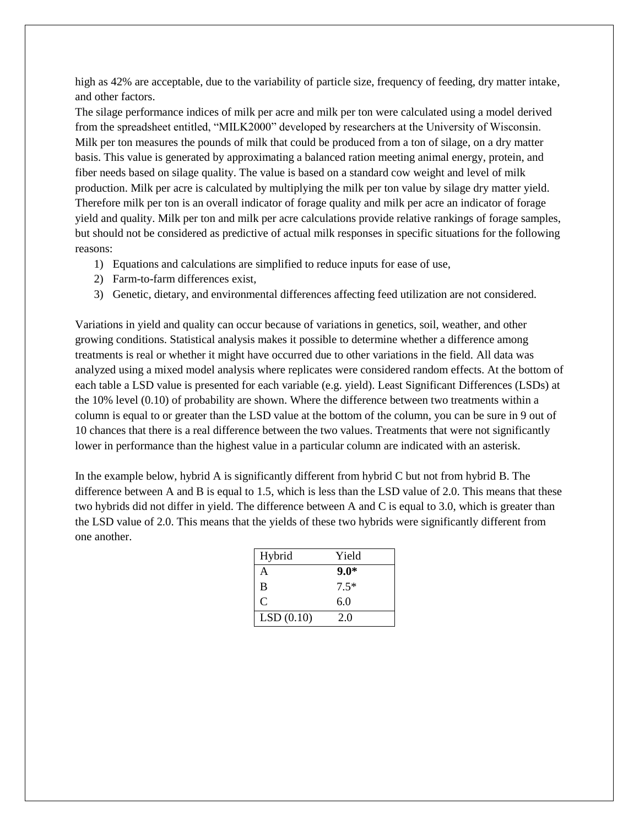high as 42% are acceptable, due to the variability of particle size, frequency of feeding, dry matter intake, and other factors.

The silage performance indices of milk per acre and milk per ton were calculated using a model derived from the spreadsheet entitled, "MILK2000" developed by researchers at the University of Wisconsin. Milk per ton measures the pounds of milk that could be produced from a ton of silage, on a dry matter basis. This value is generated by approximating a balanced ration meeting animal energy, protein, and fiber needs based on silage quality. The value is based on a standard cow weight and level of milk production. Milk per acre is calculated by multiplying the milk per ton value by silage dry matter yield. Therefore milk per ton is an overall indicator of forage quality and milk per acre an indicator of forage yield and quality. Milk per ton and milk per acre calculations provide relative rankings of forage samples, but should not be considered as predictive of actual milk responses in specific situations for the following reasons:

- 1) Equations and calculations are simplified to reduce inputs for ease of use,
- 2) Farm-to-farm differences exist,
- 3) Genetic, dietary, and environmental differences affecting feed utilization are not considered.

Variations in yield and quality can occur because of variations in genetics, soil, weather, and other growing conditions. Statistical analysis makes it possible to determine whether a difference among treatments is real or whether it might have occurred due to other variations in the field. All data was analyzed using a mixed model analysis where replicates were considered random effects. At the bottom of each table a LSD value is presented for each variable (e.g. yield). Least Significant Differences (LSDs) at the 10% level (0.10) of probability are shown. Where the difference between two treatments within a column is equal to or greater than the LSD value at the bottom of the column, you can be sure in 9 out of 10 chances that there is a real difference between the two values. Treatments that were not significantly lower in performance than the highest value in a particular column are indicated with an asterisk.

In the example below, hybrid A is significantly different from hybrid C but not from hybrid B. The difference between A and B is equal to 1.5, which is less than the LSD value of 2.0. This means that these two hybrids did not differ in yield. The difference between A and C is equal to 3.0, which is greater than the LSD value of 2.0. This means that the yields of these two hybrids were significantly different from one another.

| Hybrid    | Yield  |
|-----------|--------|
| A         | $9.0*$ |
| B         | $7.5*$ |
| C         | 6.0    |
| LSD(0.10) | 2.0    |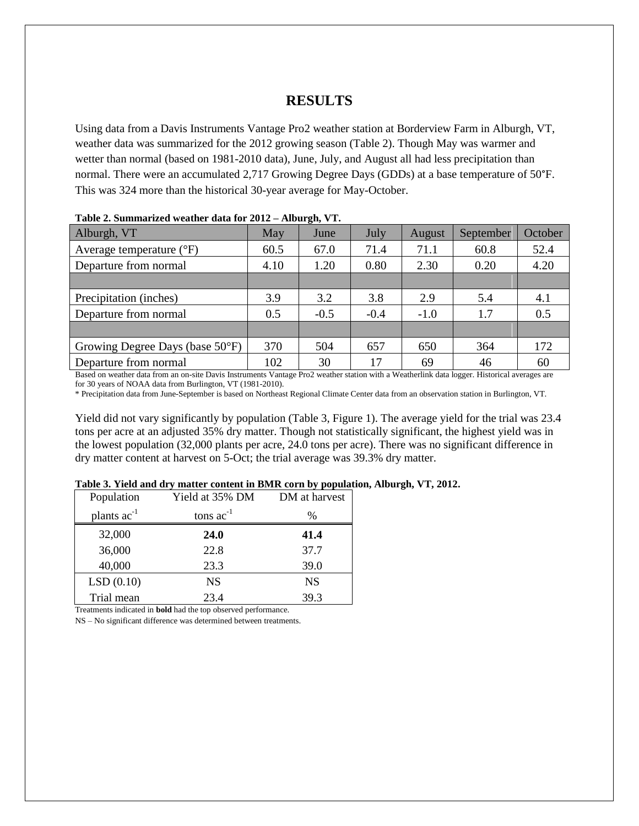## **RESULTS**

Using data from a Davis Instruments Vantage Pro2 weather station at Borderview Farm in Alburgh, VT, weather data was summarized for the 2012 growing season (Table 2). Though May was warmer and wetter than normal (based on 1981-2010 data), June, July, and August all had less precipitation than normal. There were an accumulated 2,717 Growing Degree Days (GDDs) at a base temperature of 50°F. This was 324 more than the historical 30-year average for May-October.

| таріс 2, ранніцтвіса меанісі айш тот 2012<br>$1110$ ul $111$ $11$ |      |        |        |        |           |         |  |  |  |
|-------------------------------------------------------------------|------|--------|--------|--------|-----------|---------|--|--|--|
| Alburgh, VT                                                       | May  | June   | July   | August | September | October |  |  |  |
| Average temperature $({}^{\circ}F)$                               | 60.5 | 67.0   | 71.4   | 71.1   | 60.8      | 52.4    |  |  |  |
| Departure from normal                                             | 4.10 | 1.20   | 0.80   | 2.30   | 0.20      | 4.20    |  |  |  |
|                                                                   |      |        |        |        |           |         |  |  |  |
| Precipitation (inches)                                            | 3.9  | 3.2    | 3.8    | 2.9    | 5.4       | 4.1     |  |  |  |
| Departure from normal                                             | 0.5  | $-0.5$ | $-0.4$ | $-1.0$ | 1.7       | 0.5     |  |  |  |
|                                                                   |      |        |        |        |           |         |  |  |  |
| Growing Degree Days (base $50^{\circ}$ F)                         | 370  | 504    | 657    | 650    | 364       | 172     |  |  |  |
| Departure from normal                                             | 102  | 30     | 17     | 69     | 46        | 60      |  |  |  |

### **Table 2. Summarized weather data for 2012 – Alburgh, VT.**

Based on weather data from an on-site Davis Instruments Vantage Pro2 weather station with a Weatherlink data logger. Historical averages are for 30 years of NOAA data from Burlington, VT (1981-2010).

\* Precipitation data from June-September is based on Northeast Regional Climate Center data from an observation station in Burlington, VT.

Yield did not vary significantly by population (Table 3, Figure 1). The average yield for the trial was 23.4 tons per acre at an adjusted 35% dry matter. Though not statistically significant, the highest yield was in the lowest population (32,000 plants per acre, 24.0 tons per acre). There was no significant difference in dry matter content at harvest on 5-Oct; the trial average was 39.3% dry matter.

#### **Table 3. Yield and dry matter content in BMR corn by population, Alburgh, VT, 2012.**

| Population       | Yield at 35% DM | DM at harvest |
|------------------|-----------------|---------------|
| plants $ac^{-1}$ | tons $ac^{-1}$  | $\%$          |
| 32,000           | 24.0            | 41.4          |
| 36,000           | 22.8            | 37.7          |
| 40,000           | 23.3            | 39.0          |
| LSD(0.10)        | <b>NS</b>       | <b>NS</b>     |
| Trial mean       | 23.4            | 39.3          |

Treatments indicated in **bold** had the top observed performance.

NS – No significant difference was determined between treatments.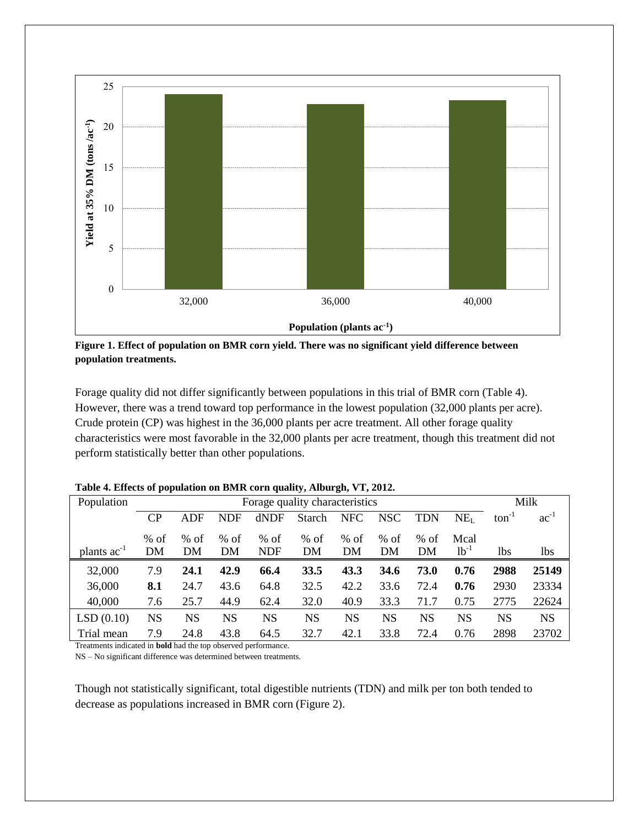

**Figure 1. Effect of population on BMR corn yield. There was no significant yield difference between population treatments.**

Forage quality did not differ significantly between populations in this trial of BMR corn (Table 4). However, there was a trend toward top performance in the lowest population (32,000 plants per acre). Crude protein (CP) was highest in the 36,000 plants per acre treatment. All other forage quality characteristics were most favorable in the 32,000 plants per acre treatment, though this treatment did not perform statistically better than other populations.

| Population       | Forage quality characteristics |           |           |            |               |            |            |            |                 | Milk              |           |
|------------------|--------------------------------|-----------|-----------|------------|---------------|------------|------------|------------|-----------------|-------------------|-----------|
|                  | <b>CP</b>                      | ADF       | NDF       | dNDF       | <b>Starch</b> | <b>NFC</b> | <b>NSC</b> | <b>TDN</b> | NE <sub>L</sub> | $\text{ton}^{-1}$ | $ac^{-1}$ |
|                  | $%$ of                         | $%$ of    | $%$ of    | $%$ of     | $%$ of        | $%$ of     | $%$ of     | $%$ of     | Mcal            |                   |           |
| plants $ac^{-1}$ | DM                             | DM        | DM        | <b>NDF</b> | DM            | DM         | DM         | DM         | $lb^{-1}$       | 1bs               | lbs.      |
| 32,000           | 7.9                            | 24.1      | 42.9      | 66.4       | 33.5          | 43.3       | 34.6       | 73.0       | 0.76            | 2988              | 25149     |
| 36,000           | 8.1                            | 24.7      | 43.6      | 64.8       | 32.5          | 42.2       | 33.6       | 72.4       | 0.76            | 2930              | 23334     |
| 40,000           | 7.6                            | 25.7      | 44.9      | 62.4       | 32.0          | 40.9       | 33.3       | 71.7       | 0.75            | 2775              | 22624     |
| LSD(0.10)        | <b>NS</b>                      | <b>NS</b> | <b>NS</b> | <b>NS</b>  | <b>NS</b>     | <b>NS</b>  | <b>NS</b>  | <b>NS</b>  | NS              | NS                | <b>NS</b> |
| Trial mean       | 7.9                            | 24.8      | 43.8      | 64.5       | 32.7          | 42.1       | 33.8       | 72.4       | 0.76            | 2898              | 23702     |

**Table 4. Effects of population on BMR corn quality, Alburgh, VT, 2012.**

Treatments indicated in **bold** had the top observed performance.

NS – No significant difference was determined between treatments.

Though not statistically significant, total digestible nutrients (TDN) and milk per ton both tended to decrease as populations increased in BMR corn (Figure 2).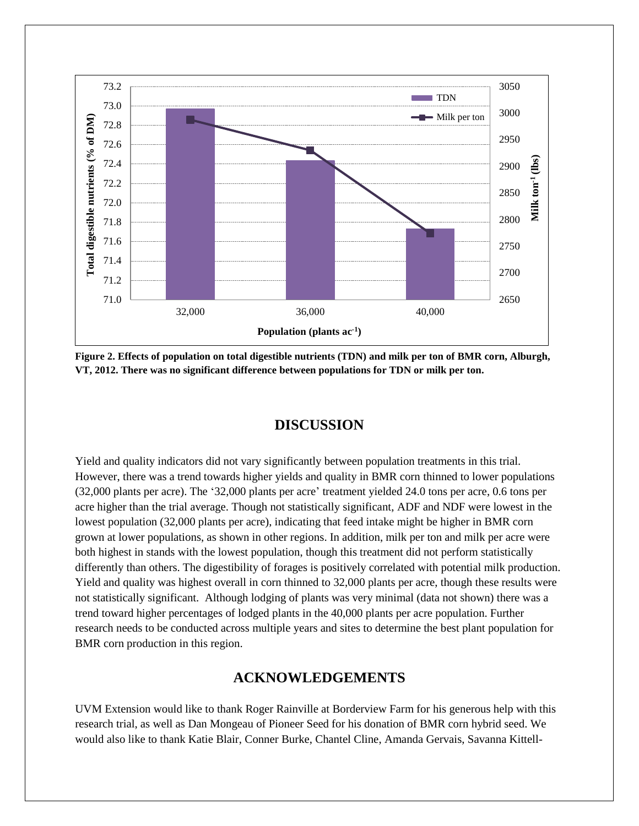

**Figure 2. Effects of population on total digestible nutrients (TDN) and milk per ton of BMR corn, Alburgh, VT, 2012. There was no significant difference between populations for TDN or milk per ton.**

## **DISCUSSION**

Yield and quality indicators did not vary significantly between population treatments in this trial. However, there was a trend towards higher yields and quality in BMR corn thinned to lower populations (32,000 plants per acre). The '32,000 plants per acre' treatment yielded 24.0 tons per acre, 0.6 tons per acre higher than the trial average. Though not statistically significant, ADF and NDF were lowest in the lowest population (32,000 plants per acre), indicating that feed intake might be higher in BMR corn grown at lower populations, as shown in other regions. In addition, milk per ton and milk per acre were both highest in stands with the lowest population, though this treatment did not perform statistically differently than others. The digestibility of forages is positively correlated with potential milk production. Yield and quality was highest overall in corn thinned to 32,000 plants per acre, though these results were not statistically significant. Although lodging of plants was very minimal (data not shown) there was a trend toward higher percentages of lodged plants in the 40,000 plants per acre population. Further research needs to be conducted across multiple years and sites to determine the best plant population for BMR corn production in this region.

## **ACKNOWLEDGEMENTS**

UVM Extension would like to thank Roger Rainville at Borderview Farm for his generous help with this research trial, as well as Dan Mongeau of Pioneer Seed for his donation of BMR corn hybrid seed. We would also like to thank Katie Blair, Conner Burke, Chantel Cline, Amanda Gervais, Savanna Kittell